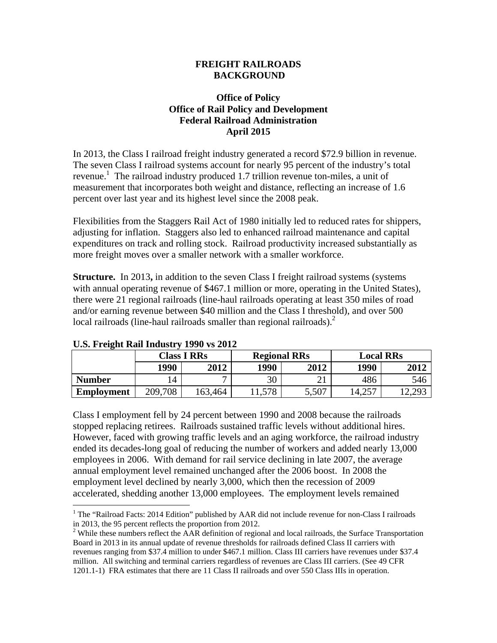## **FREIGHT RAILROADS BACKGROUND**

## **Office of Policy Office of Rail Policy and Development Federal Railroad Administration April 2015**

In 2013, the Class I railroad freight industry generated a record \$72.9 billion in revenue. The seven Class I railroad systems account for nearly 95 percent of the industry's total revenue. 1 The railroad industry produced 1.7 trillion revenue ton-miles, a unit of measurement that incorporates both weight and distance, reflecting an increase of 1.6 percent over last year and its highest level since the 2008 peak.

Flexibilities from the Staggers Rail Act of 1980 initially led to reduced rates for shippers, adjusting for inflation. Staggers also led to enhanced railroad maintenance and capital expenditures on track and rolling stock. Railroad productivity increased substantially as more freight moves over a smaller network with a smaller workforce.

**Structure.** In 2013, in addition to the seven Class I freight railroad systems (systems) with annual operating revenue of \$467.1 million or more, operating in the United States), there were 21 regional railroads (line-haul railroads operating at least 350 miles of road and/or earning revenue between \$40 million and the Class I threshold), and over 500 local railroads (line-haul railroads smaller than regional railroads). $2$ 

| <u>Cioi i i cient isan instabli e 1770 eo 2012</u> |                    |         |                     |       |                  |       |
|----------------------------------------------------|--------------------|---------|---------------------|-------|------------------|-------|
|                                                    | <b>Class I RRs</b> |         | <b>Regional RRs</b> |       | <b>Local RRs</b> |       |
|                                                    | 1990               | 2012    | 1990                | 2012  | 1990             | 2012  |
| <b>Number</b>                                      | 14                 |         | 30                  |       | 486              | 546   |
| <b>Employment</b>                                  | 209,708            | 163,464 | 11,578              | 5,507 | $14,25^{\circ}$  | 2,293 |

## **U.S. Freight Rail Industry 1990 vs 2012**

Class I employment fell by 24 percent between 1990 and 2008 because the railroads stopped replacing retirees. Railroads sustained traffic levels without additional hires. However, faced with growing traffic levels and an aging workforce, the railroad industry ended its decades-long goal of reducing the number of workers and added nearly 13,000 employees in 2006. With demand for rail service declining in late 2007, the average annual employment level remained unchanged after the 2006 boost. In 2008 the employment level declined by nearly 3,000, which then the recession of 2009 accelerated, shedding another 13,000 employees. The employment levels remained

 $\overline{a}$ <sup>1</sup> The "Railroad Facts: 2014 Edition" published by AAR did not include revenue for non-Class I railroads in 2013, the 95 percent reflects the proportion from 2012.

 $2$  While these numbers reflect the  $\overline{AAR}$  definition of regional and local railroads, the Surface Transportation Board in 2013 in its annual update of revenue thresholds for railroads defined Class II carriers with revenues ranging from \$37.4 million to under \$467.1 million. Class III carriers have revenues under \$37.4 million. All switching and terminal carriers regardless of revenues are Class III carriers. (See 49 CFR 1201.1-1) FRA estimates that there are 11 Class II railroads and over 550 Class IIIs in operation.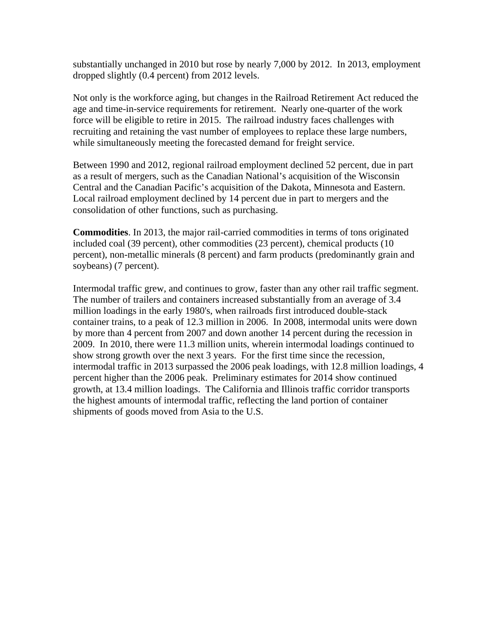substantially unchanged in 2010 but rose by nearly 7,000 by 2012. In 2013, employment dropped slightly (0.4 percent) from 2012 levels.

Not only is the workforce aging, but changes in the Railroad Retirement Act reduced the age and time-in-service requirements for retirement. Nearly one-quarter of the work force will be eligible to retire in 2015. The railroad industry faces challenges with recruiting and retaining the vast number of employees to replace these large numbers, while simultaneously meeting the forecasted demand for freight service.

Between 1990 and 2012, regional railroad employment declined 52 percent, due in part as a result of mergers, such as the Canadian National's acquisition of the Wisconsin Central and the Canadian Pacific's acquisition of the Dakota, Minnesota and Eastern. Local railroad employment declined by 14 percent due in part to mergers and the consolidation of other functions, such as purchasing.

**Commodities**. In 2013, the major rail-carried commodities in terms of tons originated included coal (39 percent), other commodities (23 percent), chemical products (10 percent), non-metallic minerals (8 percent) and farm products (predominantly grain and soybeans) (7 percent).

Intermodal traffic grew, and continues to grow, faster than any other rail traffic segment. The number of trailers and containers increased substantially from an average of 3.4 million loadings in the early 1980's, when railroads first introduced double-stack container trains, to a peak of 12.3 million in 2006.In 2008, intermodal units were down by more than 4 percent from 2007 and down another 14 percent during the recession in 2009. In 2010, there were 11.3 million units, wherein intermodal loadings continued to show strong growth over the next 3 years. For the first time since the recession, intermodal traffic in 2013 surpassed the 2006 peak loadings, with 12.8 million loadings, 4 percent higher than the 2006 peak. Preliminary estimates for 2014 show continued growth, at 13.4 million loadings. The California and Illinois traffic corridor transports the highest amounts of intermodal traffic, reflecting the land portion of container shipments of goods moved from Asia to the U.S.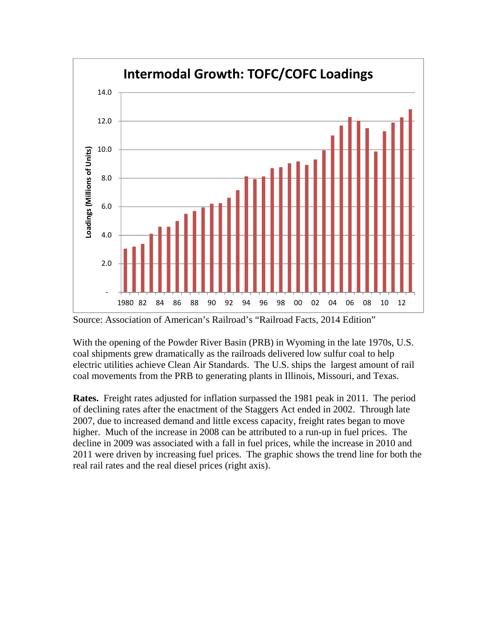

Source: Association of American's Railroad's "Railroad Facts, 2014 Edition"

With the opening of the Powder River Basin (PRB) in Wyoming in the late 1970s, U.S. coal shipments grew dramatically as the railroads delivered low sulfur coal to help electric utilities achieve Clean Air Standards. The U.S. ships the largest amount of rail coal movements from the PRB to generating plants in Illinois, Missouri, and Texas.

**Rates.** Freight rates adjusted for inflation surpassed the 1981 peak in 2011. The period of declining rates after the enactment of the Staggers Act ended in 2002. Through late 2007, due to increased demand and little excess capacity, freight rates began to move higher. Much of the increase in 2008 can be attributed to a run-up in fuel prices. The decline in 2009 was associated with a fall in fuel prices, while the increase in 2010 and 2011 were driven by increasing fuel prices. The graphic shows the trend line for both the real rail rates and the real diesel prices (right axis).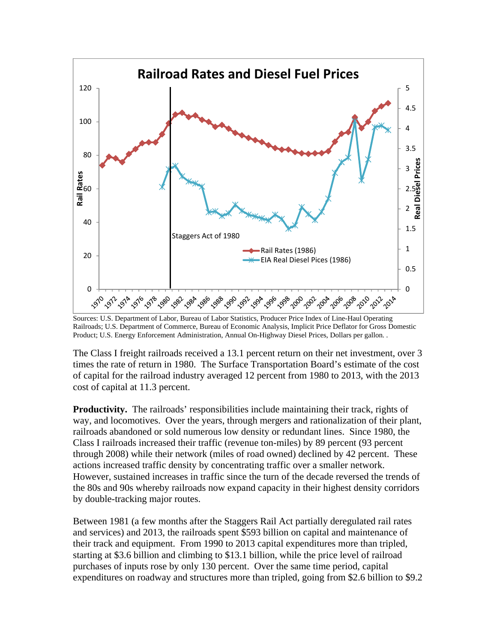

Sources: U.S. Department of Labor, Bureau of Labor Statistics, Producer Price Index of Line-Haul Operating Railroads; U.S. Department of Commerce, Bureau of Economic Analysis, Implicit Price Deflator for Gross Domestic Product; U.S. Energy Enforcement Administration, Annual On-Highway Diesel Prices, Dollars per gallon. .

The Class I freight railroads received a 13.1 percent return on their net investment, over 3 times the rate of return in 1980. The Surface Transportation Board's estimate of the cost of capital for the railroad industry averaged 12 percent from 1980 to 2013, with the 2013 cost of capital at 11.3 percent.

**Productivity.** The railroads' responsibilities include maintaining their track, rights of way, and locomotives. Over the years, through mergers and rationalization of their plant, railroads abandoned or sold numerous low density or redundant lines. Since 1980, the Class I railroads increased their traffic (revenue ton-miles) by 89 percent (93 percent through 2008) while their network (miles of road owned) declined by 42 percent. These actions increased traffic density by concentrating traffic over a smaller network. However, sustained increases in traffic since the turn of the decade reversed the trends of the 80s and 90s whereby railroads now expand capacity in their highest density corridors by double-tracking major routes.

Between 1981 (a few months after the Staggers Rail Act partially deregulated rail rates and services) and 2013, the railroads spent \$593 billion on capital and maintenance of their track and equipment. From 1990 to 2013 capital expenditures more than tripled, starting at \$3.6 billion and climbing to \$13.1 billion, while the price level of railroad purchases of inputs rose by only 130 percent.Over the same time period, capital expenditures on roadway and structures more than tripled, going from \$2.6 billion to \$9.2